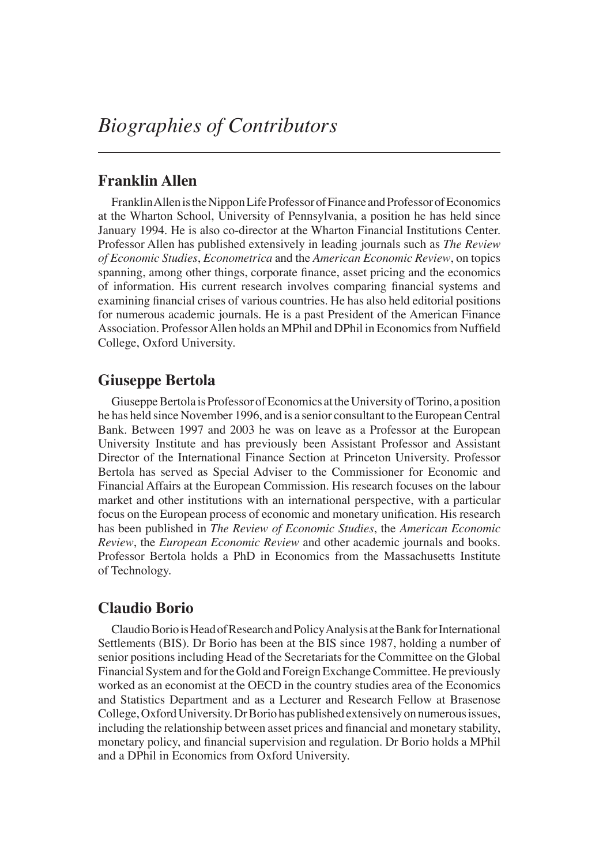# **Franklin Allen**

Franklin Allen is the Nippon Life Professor of Finance and Professor of Economics at the Wharton School, University of Pennsylvania, a position he has held since January 1994. He is also co-director at the Wharton Financial Institutions Center. Professor Allen has published extensively in leading journals such as *The Review of Economic Studies*, *Econometrica* and the *American Economic Review*, on topics spanning, among other things, corporate finance, asset pricing and the economics of information. His current research involves comparing financial systems and examining financial crises of various countries. He has also held editorial positions for numerous academic journals. He is a past President of the American Finance Association. Professor Allen holds an MPhil and DPhil in Economics from Nuffield College, Oxford University.

# **Giuseppe Bertola**

Giuseppe Bertola is Professor of Economics at the University of Torino, a position he has held since November 1996, and is a senior consultant to the European Central Bank. Between 1997 and 2003 he was on leave as a Professor at the European University Institute and has previously been Assistant Professor and Assistant Director of the International Finance Section at Princeton University. Professor Bertola has served as Special Adviser to the Commissioner for Economic and Financial Affairs at the European Commission. His research focuses on the labour market and other institutions with an international perspective, with a particular focus on the European process of economic and monetary unification. His research has been published in *The Review of Economic Studies*, the *American Economic Review*, the *European Economic Review* and other academic journals and books. Professor Bertola holds a PhD in Economics from the Massachusetts Institute of Technology.

# **Claudio Borio**

Claudio Borio is Head of Research and Policy Analysis at the Bank for International Settlements (BIS). Dr Borio has been at the BIS since 1987, holding a number of senior positions including Head of the Secretariats for the Committee on the Global Financial System and for the Gold and Foreign Exchange Committee. He previously worked as an economist at the OECD in the country studies area of the Economics and Statistics Department and as a Lecturer and Research Fellow at Brasenose College, Oxford University. Dr Borio has published extensively on numerous issues, including the relationship between asset prices and financial and monetary stability, monetary policy, and financial supervision and regulation. Dr Borio holds a MPhil and a DPhil in Economics from Oxford University.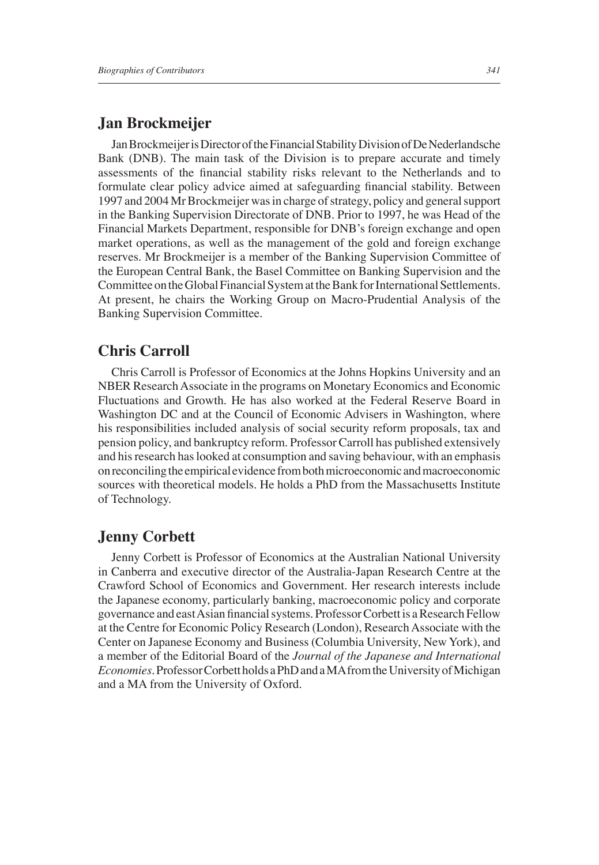# **Jan Brockmeijer**

Jan Brockmeijer is Director of the Financial Stability Division of De Nederlandsche Bank (DNB). The main task of the Division is to prepare accurate and timely assessments of the financial stability risks relevant to the Netherlands and to formulate clear policy advice aimed at safeguarding financial stability. Between 1997 and 2004 Mr Brockmeijer was in charge of strategy, policy and general support in the Banking Supervision Directorate of DNB. Prior to 1997, he was Head of the Financial Markets Department, responsible for DNB's foreign exchange and open market operations, as well as the management of the gold and foreign exchange reserves. Mr Brockmeijer is a member of the Banking Supervision Committee of the European Central Bank, the Basel Committee on Banking Supervision and the Committee on the Global Financial System at the Bank for International Settlements. At present, he chairs the Working Group on Macro-Prudential Analysis of the Banking Supervision Committee.

# **Chris Carroll**

Chris Carroll is Professor of Economics at the Johns Hopkins University and an NBER Research Associate in the programs on Monetary Economics and Economic Fluctuations and Growth. He has also worked at the Federal Reserve Board in Washington DC and at the Council of Economic Advisers in Washington, where his responsibilities included analysis of social security reform proposals, tax and pension policy, and bankruptcy reform. Professor Carroll has published extensively and his research has looked at consumption and saving behaviour, with an emphasis on reconciling the empirical evidence from both microeconomic and macroeconomic sources with theoretical models. He holds a PhD from the Massachusetts Institute of Technology.

# **Jenny Corbett**

Jenny Corbett is Professor of Economics at the Australian National University in Canberra and executive director of the Australia-Japan Research Centre at the Crawford School of Economics and Government. Her research interests include the Japanese economy, particularly banking, macroeconomic policy and corporate governance and east Asian financial systems. Professor Corbett is a Research Fellow at the Centre for Economic Policy Research (London), Research Associate with the Center on Japanese Economy and Business (Columbia University, New York), and a member of the Editorial Board of the *Journal of the Japanese and International Economies.* Professor Corbett holds a PhD and a MA from the University of Michigan and a MA from the University of Oxford.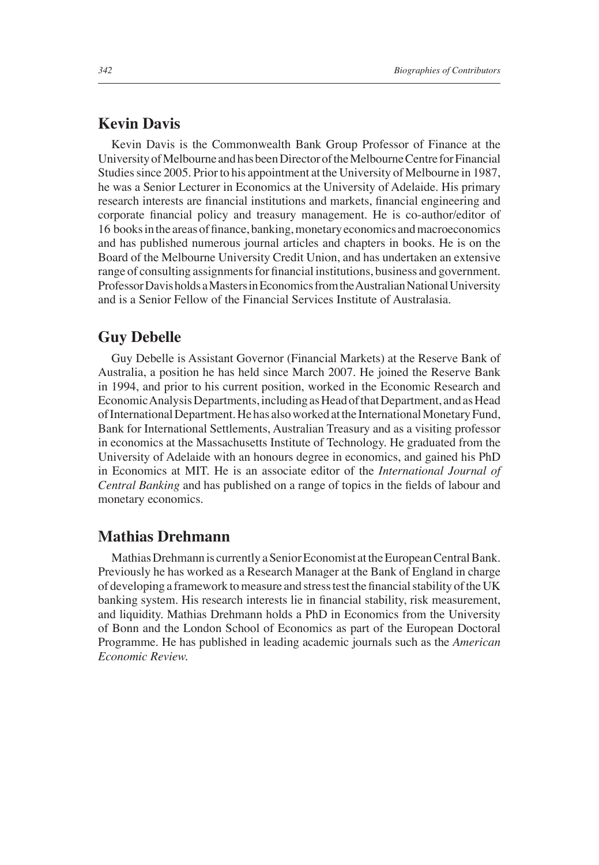# **Kevin Davis**

Kevin Davis is the Commonwealth Bank Group Professor of Finance at the University of Melbourne and has been Director of the Melbourne Centre for Financial Studies since 2005. Prior to his appointment at the University of Melbourne in 1987, he was a Senior Lecturer in Economics at the University of Adelaide. His primary research interests are financial institutions and markets, financial engineering and corporate financial policy and treasury management. He is co-author/editor of 16 books in the areas of finance, banking, monetary economics and macroeconomics and has published numerous journal articles and chapters in books. He is on the Board of the Melbourne University Credit Union, and has undertaken an extensive range of consulting assignments for financial institutions, business and government. Professor Davis holds a Masters in Economics from the Australian National University and is a Senior Fellow of the Financial Services Institute of Australasia.

#### **Guy Debelle**

Guy Debelle is Assistant Governor (Financial Markets) at the Reserve Bank of Australia, a position he has held since March 2007. He joined the Reserve Bank in 1994, and prior to his current position, worked in the Economic Research and Economic Analysis Departments, including as Head of that Department, and as Head of International Department. He has also worked at the International Monetary Fund, Bank for International Settlements, Australian Treasury and as a visiting professor in economics at the Massachusetts Institute of Technology. He graduated from the University of Adelaide with an honours degree in economics, and gained his PhD in Economics at MIT. He is an associate editor of the *International Journal of Central Banking* and has published on a range of topics in the fields of labour and monetary economics.

## **Mathias Drehmann**

Mathias Drehmann is currently a Senior Economist at the European Central Bank. Previously he has worked as a Research Manager at the Bank of England in charge of developing a framework to measure and stress test the financial stability of the UK banking system. His research interests lie in financial stability, risk measurement, and liquidity. Mathias Drehmann holds a PhD in Economics from the University of Bonn and the London School of Economics as part of the European Doctoral Programme. He has published in leading academic journals such as the *American Economic Review.*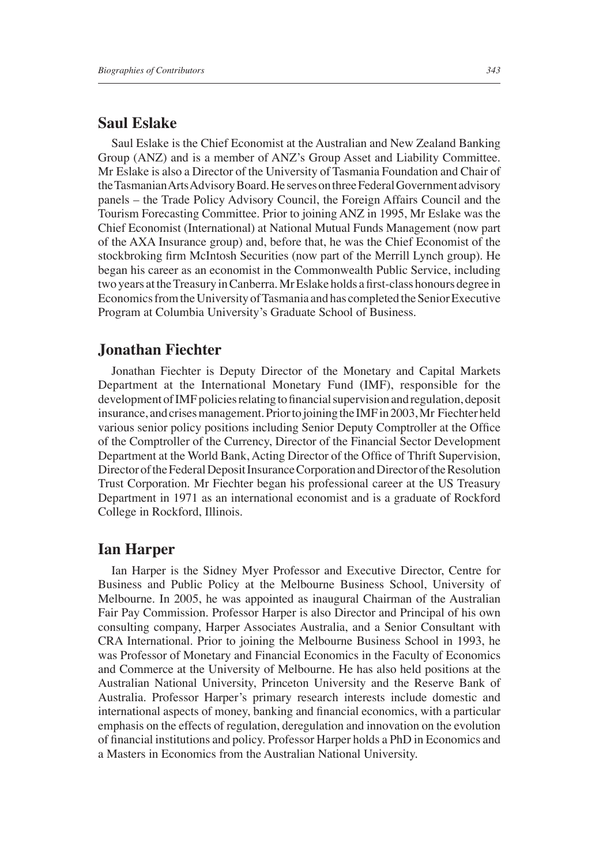# **Saul Eslake**

Saul Eslake is the Chief Economist at the Australian and New Zealand Banking Group (ANZ) and is a member of ANZ's Group Asset and Liability Committee. Mr Eslake is also a Director of the University of Tasmania Foundation and Chair of the Tasmanian Arts Advisory Board. He serves on three Federal Government advisory panels – the Trade Policy Advisory Council, the Foreign Affairs Council and the Tourism Forecasting Committee. Prior to joining ANZ in 1995, Mr Eslake was the Chief Economist (International) at National Mutual Funds Management (now part of the AXA Insurance group) and, before that, he was the Chief Economist of the stockbroking firm McIntosh Securities (now part of the Merrill Lynch group). He began his career as an economist in the Commonwealth Public Service, including two years at the Treasury in Canberra. Mr Eslake holds a first-class honours degree in Economics from the University of Tasmania and has completed the Senior Executive Program at Columbia University's Graduate School of Business.

#### **Jonathan Fiechter**

Jonathan Fiechter is Deputy Director of the Monetary and Capital Markets Department at the International Monetary Fund (IMF), responsible for the development of IMF policies relating to financial supervision and regulation, deposit insurance, and crises management. Prior to joining the IMF in 2003, Mr Fiechter held various senior policy positions including Senior Deputy Comptroller at the Office of the Comptroller of the Currency, Director of the Financial Sector Development Department at the World Bank, Acting Director of the Office of Thrift Supervision, Director of the Federal Deposit Insurance Corporation and Director of the Resolution Trust Corporation. Mr Fiechter began his professional career at the US Treasury Department in 1971 as an international economist and is a graduate of Rockford College in Rockford, Illinois.

#### **Ian Harper**

Ian Harper is the Sidney Myer Professor and Executive Director, Centre for Business and Public Policy at the Melbourne Business School, University of Melbourne. In 2005, he was appointed as inaugural Chairman of the Australian Fair Pay Commission. Professor Harper is also Director and Principal of his own consulting company, Harper Associates Australia, and a Senior Consultant with CRA International. Prior to joining the Melbourne Business School in 1993, he was Professor of Monetary and Financial Economics in the Faculty of Economics and Commerce at the University of Melbourne. He has also held positions at the Australian National University, Princeton University and the Reserve Bank of Australia. Professor Harper's primary research interests include domestic and international aspects of money, banking and financial economics, with a particular emphasis on the effects of regulation, deregulation and innovation on the evolution of financial institutions and policy. Professor Harper holds a PhD in Economics and a Masters in Economics from the Australian National University.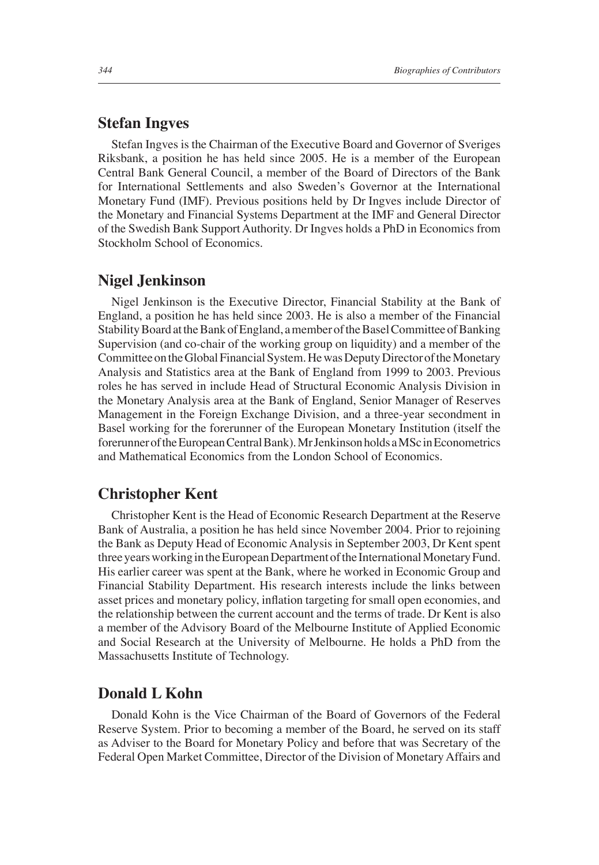#### **Stefan Ingves**

Stefan Ingves is the Chairman of the Executive Board and Governor of Sveriges Riksbank, a position he has held since 2005. He is a member of the European Central Bank General Council, a member of the Board of Directors of the Bank for International Settlements and also Sweden's Governor at the International Monetary Fund (IMF). Previous positions held by Dr Ingves include Director of the Monetary and Financial Systems Department at the IMF and General Director of the Swedish Bank Support Authority. Dr Ingves holds a PhD in Economics from Stockholm School of Economics.

## **Nigel Jenkinson**

Nigel Jenkinson is the Executive Director, Financial Stability at the Bank of England, a position he has held since 2003. He is also a member of the Financial Stability Board at the Bank of England, a member of the Basel Committee of Banking Supervision (and co-chair of the working group on liquidity) and a member of the Committee on the Global Financial System. He was Deputy Director of the Monetary Analysis and Statistics area at the Bank of England from 1999 to 2003. Previous roles he has served in include Head of Structural Economic Analysis Division in the Monetary Analysis area at the Bank of England, Senior Manager of Reserves Management in the Foreign Exchange Division, and a three-year secondment in Basel working for the forerunner of the European Monetary Institution (itself the forerunner of the European Central Bank). Mr Jenkinson holds a MSc in Econometrics and Mathematical Economics from the London School of Economics.

## **Christopher Kent**

Christopher Kent is the Head of Economic Research Department at the Reserve Bank of Australia, a position he has held since November 2004. Prior to rejoining the Bank as Deputy Head of Economic Analysis in September 2003, Dr Kent spent three years working in the European Department of the International Monetary Fund. His earlier career was spent at the Bank, where he worked in Economic Group and Financial Stability Department. His research interests include the links between asset prices and monetary policy, inflation targeting for small open economies, and the relationship between the current account and the terms of trade. Dr Kent is also a member of the Advisory Board of the Melbourne Institute of Applied Economic and Social Research at the University of Melbourne. He holds a PhD from the Massachusetts Institute of Technology.

# **Donald L Kohn**

Donald Kohn is the Vice Chairman of the Board of Governors of the Federal Reserve System. Prior to becoming a member of the Board, he served on its staff as Adviser to the Board for Monetary Policy and before that was Secretary of the Federal Open Market Committee, Director of the Division of Monetary Affairs and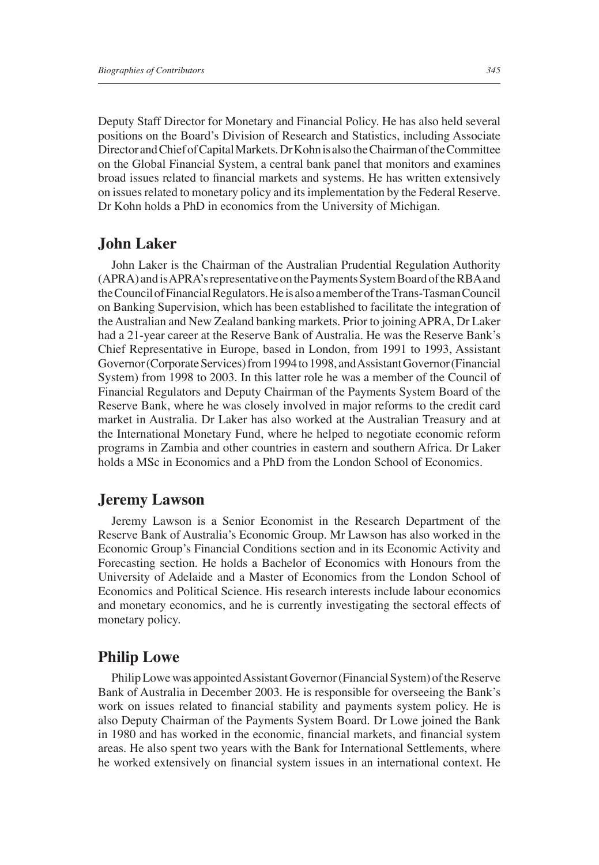Deputy Staff Director for Monetary and Financial Policy. He has also held several positions on the Board's Division of Research and Statistics, including Associate Director and Chief of Capital Markets. Dr Kohn is also the Chairman of the Committee on the Global Financial System, a central bank panel that monitors and examines broad issues related to financial markets and systems. He has written extensively on issues related to monetary policy and its implementation by the Federal Reserve. Dr Kohn holds a PhD in economics from the University of Michigan.

# **John Laker**

John Laker is the Chairman of the Australian Prudential Regulation Authority (APRA) and is APRA's representative on the Payments System Board of the RBA and the Council of Financial Regulators. He is also a member of the Trans-Tasman Council on Banking Supervision, which has been established to facilitate the integration of the Australian and New Zealand banking markets. Prior to joining APRA, Dr Laker had a 21-year career at the Reserve Bank of Australia. He was the Reserve Bank's Chief Representative in Europe, based in London, from 1991 to 1993, Assistant Governor (Corporate Services) from 1994 to 1998, and Assistant Governor (Financial System) from 1998 to 2003. In this latter role he was a member of the Council of Financial Regulators and Deputy Chairman of the Payments System Board of the Reserve Bank, where he was closely involved in major reforms to the credit card market in Australia. Dr Laker has also worked at the Australian Treasury and at the International Monetary Fund, where he helped to negotiate economic reform programs in Zambia and other countries in eastern and southern Africa. Dr Laker holds a MSc in Economics and a PhD from the London School of Economics.

## **Jeremy Lawson**

Jeremy Lawson is a Senior Economist in the Research Department of the Reserve Bank of Australia's Economic Group. Mr Lawson has also worked in the Economic Group's Financial Conditions section and in its Economic Activity and Forecasting section. He holds a Bachelor of Economics with Honours from the University of Adelaide and a Master of Economics from the London School of Economics and Political Science. His research interests include labour economics and monetary economics, and he is currently investigating the sectoral effects of monetary policy.

# **Philip Lowe**

Philip Lowe was appointed Assistant Governor (Financial System) of the Reserve Bank of Australia in December 2003. He is responsible for overseeing the Bank's work on issues related to financial stability and payments system policy. He is also Deputy Chairman of the Payments System Board. Dr Lowe joined the Bank in 1980 and has worked in the economic, financial markets, and financial system areas. He also spent two years with the Bank for International Settlements, where he worked extensively on financial system issues in an international context. He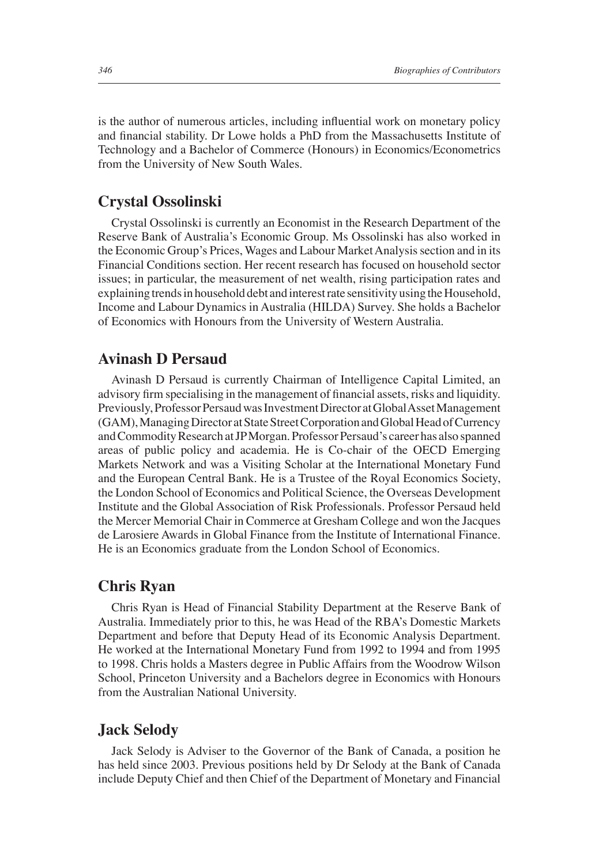is the author of numerous articles, including influential work on monetary policy and financial stability. Dr Lowe holds a PhD from the Massachusetts Institute of Technology and a Bachelor of Commerce (Honours) in Economics/Econometrics from the University of New South Wales.

#### **Crystal Ossolinski**

Crystal Ossolinski is currently an Economist in the Research Department of the Reserve Bank of Australia's Economic Group. Ms Ossolinski has also worked in the Economic Group's Prices, Wages and Labour Market Analysis section and in its Financial Conditions section. Her recent research has focused on household sector issues; in particular, the measurement of net wealth, rising participation rates and explaining trends in household debt and interest rate sensitivity using the Household, Income and Labour Dynamics in Australia (HILDA) Survey. She holds a Bachelor of Economics with Honours from the University of Western Australia.

# **Avinash D Persaud**

Avinash D Persaud is currently Chairman of Intelligence Capital Limited, an advisory firm specialising in the management of financial assets, risks and liquidity. Previously, Professor Persaud was Investment Director at Global Asset Management (GAM), Managing Director at State Street Corporation and Global Head of Currency and Commodity Research at JP Morgan. Professor Persaud's career has also spanned areas of public policy and academia. He is Co-chair of the OECD Emerging Markets Network and was a Visiting Scholar at the International Monetary Fund and the European Central Bank. He is a Trustee of the Royal Economics Society, the London School of Economics and Political Science, the Overseas Development Institute and the Global Association of Risk Professionals. Professor Persaud held the Mercer Memorial Chair in Commerce at Gresham College and won the Jacques de Larosiere Awards in Global Finance from the Institute of International Finance. He is an Economics graduate from the London School of Economics.

# **Chris Ryan**

Chris Ryan is Head of Financial Stability Department at the Reserve Bank of Australia. Immediately prior to this, he was Head of the RBA's Domestic Markets Department and before that Deputy Head of its Economic Analysis Department. He worked at the International Monetary Fund from 1992 to 1994 and from 1995 to 1998. Chris holds a Masters degree in Public Affairs from the Woodrow Wilson School, Princeton University and a Bachelors degree in Economics with Honours from the Australian National University.

# **Jack Selody**

Jack Selody is Adviser to the Governor of the Bank of Canada, a position he has held since 2003. Previous positions held by Dr Selody at the Bank of Canada include Deputy Chief and then Chief of the Department of Monetary and Financial